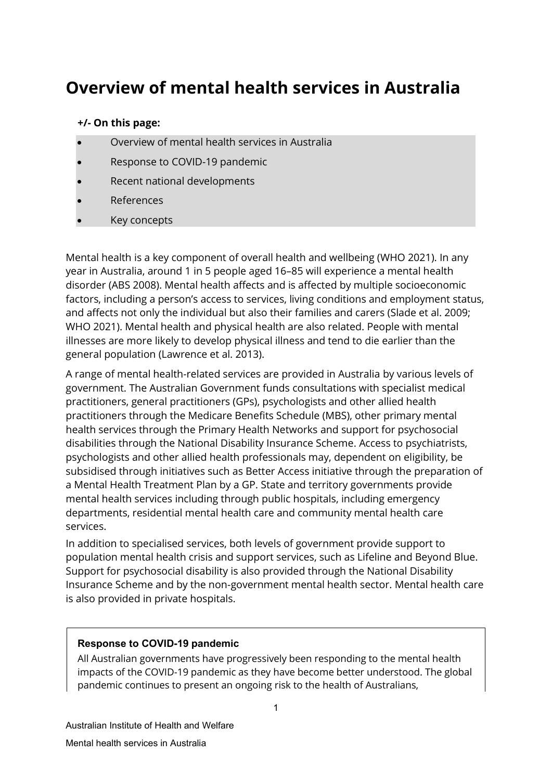# **Overview of mental health services in Australia**

#### **+/- On this page:**

- Overview of mental health services in Australia
- Response to COVID-19 pandemic
- Recent national developments
- **References**
- Key concepts

Mental health is a key component of overall health and wellbeing (WHO 2021). In any year in Australia, around 1 in 5 people aged 16–85 will experience a mental health disorder (ABS 2008). Mental health affects and is affected by multiple socioeconomic factors, including a person's access to services, living conditions and employment status, and affects not only the individual but also their families and carers (Slade et al. 2009; WHO 2021). Mental health and physical health are also related. People with mental illnesses are more likely to develop physical illness and tend to die earlier than the general population (Lawrence et al. 2013).

A range of mental health-related services are provided in Australia by various levels of government. The Australian Government funds consultations with specialist medical practitioners, general practitioners (GPs), psychologists and other allied health practitioners through the Medicare Benefits Schedule (MBS), other primary mental health services through the Primary Health Networks and support for psychosocial disabilities through the National Disability Insurance Scheme. Access to psychiatrists, psychologists and other allied health professionals may, dependent on eligibility, be subsidised through initiatives such as Better Access initiative through the preparation of a Mental Health Treatment Plan by a GP. State and territory governments provide mental health services including through public hospitals, including emergency departments, residential mental health care and community mental health care services.

In addition to specialised services, both levels of government provide support to population mental health crisis and support services, such as Lifeline and Beyond Blue. Support for psychosocial disability is also provided through the National Disability Insurance Scheme and by the non-government mental health sector. Mental health care is also provided in private hospitals.

#### **Response to COVID-19 pandemic**

All Australian governments have progressively been responding to the mental health impacts of the COVID-19 pandemic as they have become better understood. The global pandemic continues to present an ongoing risk to the health of Australians,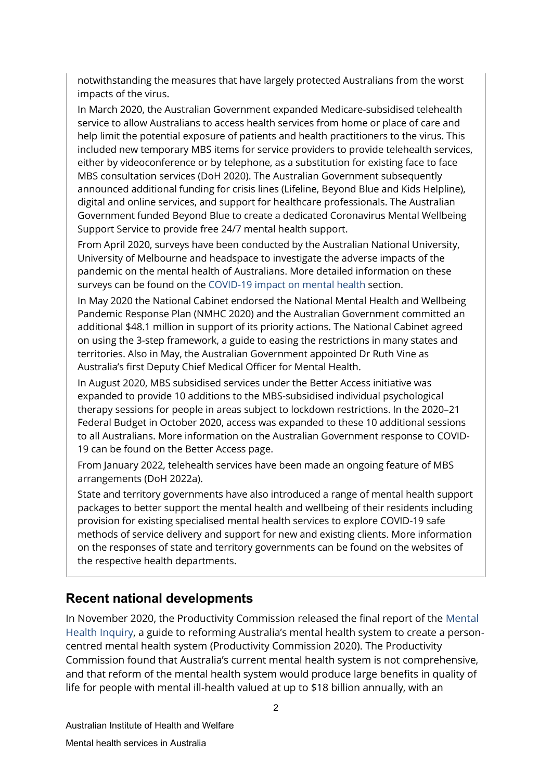notwithstanding the measures that have largely protected Australians from the worst impacts of the virus.

In March 2020, the Australian Government expanded Medicare-subsidised telehealth service to allow Australians to access health services from home or place of care and help limit the potential exposure of patients and health practitioners to the virus. This included new temporary MBS items for service providers to provide telehealth services, either by videoconference or by telephone, as a substitution for existing face to face MBS consultation services (DoH 2020). The Australian Government subsequently announced additional funding for crisis lines (Lifeline, Beyond Blue and Kids Helpline), digital and online services, and support for healthcare professionals. The Australian Government funded Beyond Blue to create a dedicated Coronavirus Mental Wellbeing Support Service to provide free 24/7 mental health support.

From April 2020, surveys have been conducted by the Australian National University, University of Melbourne and headspace to investigate the adverse impacts of the pandemic on the mental health of Australians. More detailed information on these surveys can be found on the [COVID-19 impact on mental health s](https://www.aihw.gov.au/reports/mental-health-services/mental-health-services-in-australia/report-contents/covid-19-impact-on-mental-health)ection.

In May 2020 the National Cabinet endorsed the National Mental Health and Wellbeing Pandemic Response Plan (NMHC 2020) and the Australian Government committed an additional \$48.1 million in support of its priority actions. The National Cabinet agreed on using the 3-step framework, a guide to easing the restrictions in many states and territories. Also in May, the Australian Government appointed Dr Ruth Vine as Australia's first Deputy Chief Medical Officer for Mental Health.

In August 2020, MBS subsidised services under the Better Access initiative was expanded to provide 10 additions to the MBS-subsidised individual psychological therapy sessions for people in areas subject to lockdown restrictions. In the 2020–21 Federal Budget in October 2020, access was expanded to these 10 additional sessions to all Australians. More information on the Australian Government response to COVID-19 can be found on th[e Better Access page.](https://www.health.gov.au/initiatives-and-programs/better-access-initiative?utm_source=health.gov.au&utm_medium=callout-auto-custom&utm_campaign=digital_transformation)

From January 2022, telehealth services have been made an ongoing feature of MBS arrangements (DoH 2022a).

State and territory governments have also introduced a range of mental health support packages to better support the mental health and wellbeing of their residents including provision for existing specialised mental health services to explore COVID-19 safe methods of service delivery and support for new and existing clients. More information on the responses of state and territory governments can be found on the websites of the respective health departments.

### **Recent national developments**

In November 2020, the Productivity Commission released the final report of the [Mental](https://www.pc.gov.au/inquiries/completed/mental-health/report)  [Health Inquiry,](https://www.pc.gov.au/inquiries/completed/mental-health/report) a guide to reforming Australia's mental health system to create a personcentred mental health system (Productivity Commission 2020). The Productivity Commission found that Australia's current mental health system is not comprehensive, and that reform of the mental health system would produce large benefits in quality of life for people with mental ill-health valued at up to \$18 billion annually, with an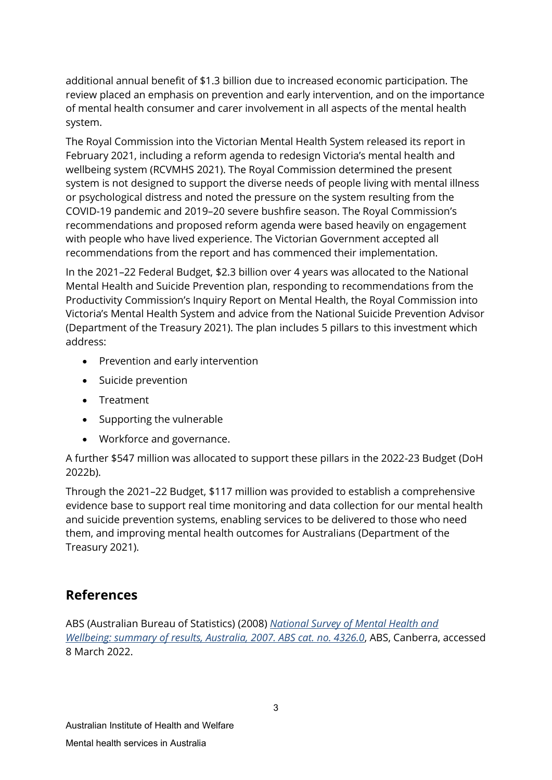additional annual benefit of \$1.3 billion due to increased economic participation. The review placed an emphasis on prevention and early intervention, and on the importance of mental health consumer and carer involvement in all aspects of the mental health system.

The Royal Commission into the Victorian Mental Health System released its report in February 2021, including a reform agenda to redesign Victoria's mental health and wellbeing system (RCVMHS 2021). The Royal Commission determined the present system is not designed to support the diverse needs of people living with mental illness or psychological distress and noted the pressure on the system resulting from the COVID-19 pandemic and 2019–20 severe bushfire season. The Royal Commission's recommendations and proposed reform agenda were based heavily on engagement with people who have lived experience. The Victorian Government accepted all recommendations from the report and has commenced their implementation.

In the 2021–22 Federal Budget, \$2.3 billion over 4 years was allocated to the National Mental Health and Suicide Prevention plan, responding to recommendations from the Productivity Commission's Inquiry Report on Mental Health, the Royal Commission into Victoria's Mental Health System and advice from the National Suicide Prevention Advisor (Department of the Treasury 2021). The plan includes 5 pillars to this investment which address:

- Prevention and early intervention
- Suicide prevention
- Treatment
- Supporting the vulnerable
- Workforce and governance.

A further \$547 million was allocated to support these pillars in the 2022-23 Budget (DoH 2022b).

Through the 2021–22 Budget, \$117 million was provided to establish a comprehensive evidence base to support real time monitoring and data collection for our mental health and suicide prevention systems, enabling services to be delivered to those who need them, and improving mental health outcomes for Australians (Department of the Treasury 2021).

## **References**

ABS (Australian Bureau of Statistics) (2008) *[National Survey of Mental Health and](https://www.abs.gov.au/statistics/health/mental-health/national-survey-mental-health-and-wellbeing-summary-results/latest-release)  [Wellbeing: summary of results, Australia, 2007. ABS cat. no. 4326.0](https://www.abs.gov.au/statistics/health/mental-health/national-survey-mental-health-and-wellbeing-summary-results/latest-release)*, ABS, Canberra, accessed 8 March 2022.